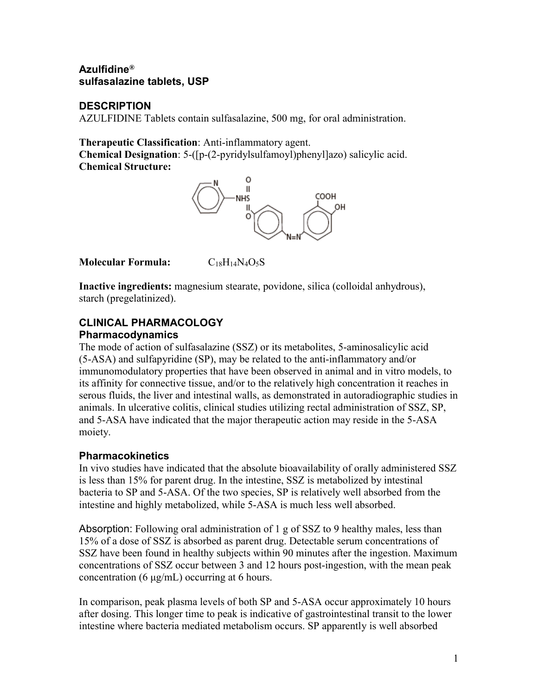## **Azulfidine® sulfasalazine tablets, USP**

### **DESCRIPTION**

AZULFIDINE Tablets contain sulfasalazine, 500 mg, for oral administration.

**Therapeutic Classification**: Anti-inflammatory agent.

**Chemical Designation**: 5-([p-(2-pyridylsulfamoyl)phenyl]azo) salicylic acid. **Chemical Structure:**



**Molecular Formula:** C18H14N4O5S

**Inactive ingredients:** magnesium stearate, povidone, silica (colloidal anhydrous), starch (pregelatinized).

## **CLINICAL PHARMACOLOGY Pharmacodynamics**

The mode of action of sulfasalazine (SSZ) or its metabolites, 5-aminosalicylic acid (5-ASA) and sulfapyridine (SP), may be related to the anti-inflammatory and/or immunomodulatory properties that have been observed in animal and in vitro models, to its affinity for connective tissue, and/or to the relatively high concentration it reaches in serous fluids, the liver and intestinal walls, as demonstrated in autoradiographic studies in animals. In ulcerative colitis, clinical studies utilizing rectal administration of SSZ, SP, and 5-ASA have indicated that the major therapeutic action may reside in the 5-ASA moiety.

# **Pharmacokinetics**

In vivo studies have indicated that the absolute bioavailability of orally administered SSZ is less than 15% for parent drug. In the intestine, SSZ is metabolized by intestinal bacteria to SP and 5-ASA. Of the two species, SP is relatively well absorbed from the intestine and highly metabolized, while 5-ASA is much less well absorbed.

Absorption: Following oral administration of 1 g of SSZ to 9 healthy males, less than 15% of a dose of SSZ is absorbed as parent drug. Detectable serum concentrations of SSZ have been found in healthy subjects within 90 minutes after the ingestion. Maximum concentrations of SSZ occur between 3 and 12 hours post-ingestion, with the mean peak concentration (6 μg/mL) occurring at 6 hours.

In comparison, peak plasma levels of both SP and 5-ASA occur approximately 10 hours after dosing. This longer time to peak is indicative of gastrointestinal transit to the lower intestine where bacteria mediated metabolism occurs. SP apparently is well absorbed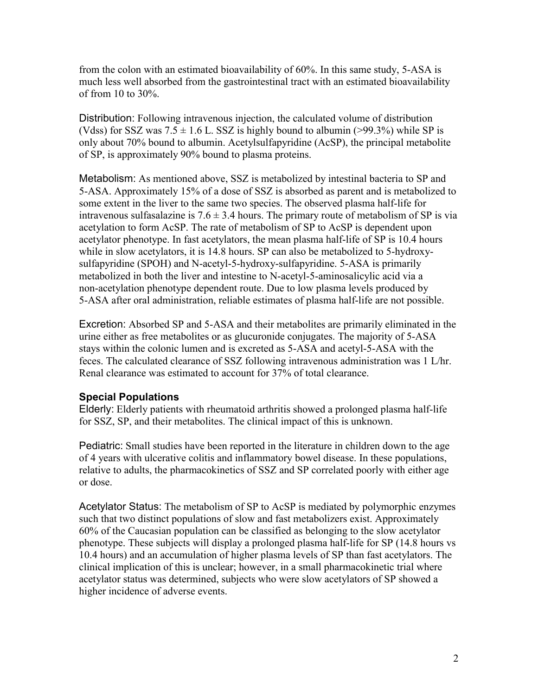from the colon with an estimated bioavailability of 60%. In this same study, 5-ASA is much less well absorbed from the gastrointestinal tract with an estimated bioavailability of from 10 to 30%.

Distribution: Following intravenous injection, the calculated volume of distribution (Vdss) for SSZ was  $7.5 \pm 1.6$  L. SSZ is highly bound to albumin (>99.3%) while SP is only about 70% bound to albumin. Acetylsulfapyridine (AcSP), the principal metabolite of SP, is approximately 90% bound to plasma proteins.

Metabolism: As mentioned above, SSZ is metabolized by intestinal bacteria to SP and 5-ASA. Approximately 15% of a dose of SSZ is absorbed as parent and is metabolized to some extent in the liver to the same two species. The observed plasma half-life for intravenous sulfasalazine is  $7.6 \pm 3.4$  hours. The primary route of metabolism of SP is via acetylation to form AcSP. The rate of metabolism of SP to AcSP is dependent upon acetylator phenotype. In fast acetylators, the mean plasma half-life of SP is 10.4 hours while in slow acetylators, it is 14.8 hours. SP can also be metabolized to 5-hydroxysulfapyridine (SPOH) and N-acetyl-5-hydroxy-sulfapyridine. 5-ASA is primarily metabolized in both the liver and intestine to N-acetyl-5-aminosalicylic acid via a non-acetylation phenotype dependent route. Due to low plasma levels produced by 5-ASA after oral administration, reliable estimates of plasma half-life are not possible.

Excretion: Absorbed SP and 5-ASA and their metabolites are primarily eliminated in the urine either as free metabolites or as glucuronide conjugates. The majority of 5-ASA stays within the colonic lumen and is excreted as 5-ASA and acetyl-5-ASA with the feces. The calculated clearance of SSZ following intravenous administration was 1 L/hr. Renal clearance was estimated to account for 37% of total clearance.

## **Special Populations**

Elderly: Elderly patients with rheumatoid arthritis showed a prolonged plasma half-life for SSZ, SP, and their metabolites. The clinical impact of this is unknown.

Pediatric: Small studies have been reported in the literature in children down to the age of 4 years with ulcerative colitis and inflammatory bowel disease. In these populations, relative to adults, the pharmacokinetics of SSZ and SP correlated poorly with either age or dose.

Acetylator Status: The metabolism of SP to AcSP is mediated by polymorphic enzymes such that two distinct populations of slow and fast metabolizers exist. Approximately 60% of the Caucasian population can be classified as belonging to the slow acetylator phenotype. These subjects will display a prolonged plasma half-life for SP (14.8 hours vs 10.4 hours) and an accumulation of higher plasma levels of SP than fast acetylators. The clinical implication of this is unclear; however, in a small pharmacokinetic trial where acetylator status was determined, subjects who were slow acetylators of SP showed a higher incidence of adverse events.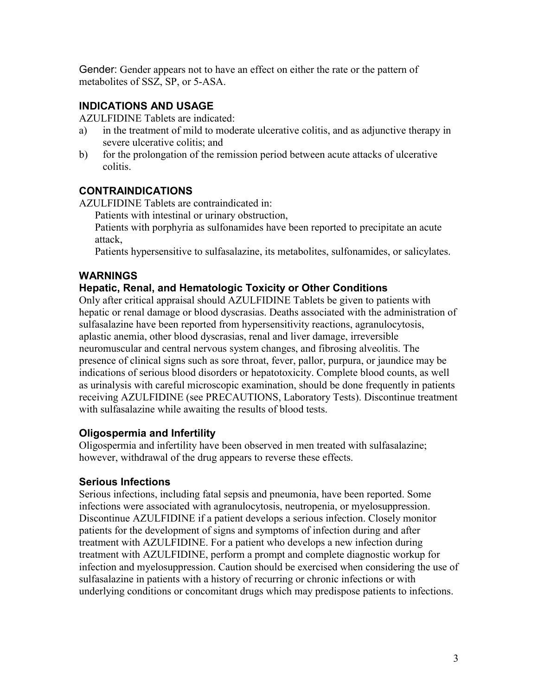Gender: Gender appears not to have an effect on either the rate or the pattern of metabolites of SSZ, SP, or 5-ASA.

### **INDICATIONS AND USAGE**

AZULFIDINE Tablets are indicated:

- a) in the treatment of mild to moderate ulcerative colitis, and as adjunctive therapy in severe ulcerative colitis; and
- b) for the prolongation of the remission period between acute attacks of ulcerative colitis.

### **CONTRAINDICATIONS**

AZULFIDINE Tablets are contraindicated in:

Patients with intestinal or urinary obstruction,

Patients with porphyria as sulfonamides have been reported to precipitate an acute attack,

Patients hypersensitive to sulfasalazine, its metabolites, sulfonamides, or salicylates.

### **WARNINGS**

### **Hepatic, Renal, and Hematologic Toxicity or Other Conditions**

Only after critical appraisal should AZULFIDINE Tablets be given to patients with hepatic or renal damage or blood dyscrasias. Deaths associated with the administration of sulfasalazine have been reported from hypersensitivity reactions, agranulocytosis, aplastic anemia, other blood dyscrasias, renal and liver damage, irreversible neuromuscular and central nervous system changes, and fibrosing alveolitis. The presence of clinical signs such as sore throat, fever, pallor, purpura, or jaundice may be indications of serious blood disorders or hepatotoxicity. Complete blood counts, as well as urinalysis with careful microscopic examination, should be done frequently in patients receiving AZULFIDINE (see PRECAUTIONS, Laboratory Tests). Discontinue treatment with sulfasalazine while awaiting the results of blood tests.

### **Oligospermia and Infertility**

Oligospermia and infertility have been observed in men treated with sulfasalazine; however, withdrawal of the drug appears to reverse these effects.

### **Serious Infections**

Serious infections, including fatal sepsis and pneumonia, have been reported. Some infections were associated with agranulocytosis, neutropenia, or myelosuppression. Discontinue AZULFIDINE if a patient develops a serious infection. Closely monitor patients for the development of signs and symptoms of infection during and after treatment with AZULFIDINE. For a patient who develops a new infection during treatment with AZULFIDINE, perform a prompt and complete diagnostic workup for infection and myelosuppression. Caution should be exercised when considering the use of sulfasalazine in patients with a history of recurring or chronic infections or with underlying conditions or concomitant drugs which may predispose patients to infections.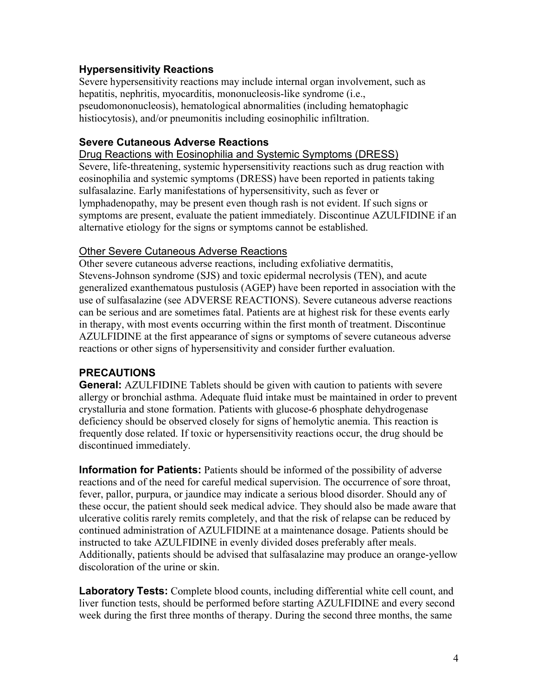### **Hypersensitivity Reactions**

Severe hypersensitivity reactions may include internal organ involvement, such as hepatitis, nephritis, myocarditis, mononucleosis-like syndrome (i.e., pseudomononucleosis), hematological abnormalities (including hematophagic histiocytosis), and/or pneumonitis including eosinophilic infiltration.

### **Severe Cutaneous Adverse Reactions**

#### Drug Reactions with Eosinophilia and Systemic Symptoms (DRESS)

Severe, life-threatening, systemic hypersensitivity reactions such as drug reaction with eosinophilia and systemic symptoms (DRESS) have been reported in patients taking sulfasalazine. Early manifestations of hypersensitivity, such as fever or lymphadenopathy, may be present even though rash is not evident. If such signs or symptoms are present, evaluate the patient immediately. Discontinue AZULFIDINE if an alternative etiology for the signs or symptoms cannot be established.

### Other Severe Cutaneous Adverse Reactions

Other severe cutaneous adverse reactions, including exfoliative dermatitis, Stevens-Johnson syndrome (SJS) and toxic epidermal necrolysis (TEN), and acute generalized exanthematous pustulosis (AGEP) have been reported in association with the use of sulfasalazine (see ADVERSE REACTIONS). Severe cutaneous adverse reactions can be serious and are sometimes fatal. Patients are at highest risk for these events early in therapy, with most events occurring within the first month of treatment. Discontinue AZULFIDINE at the first appearance of signs or symptoms of severe cutaneous adverse reactions or other signs of hypersensitivity and consider further evaluation.

## **PRECAUTIONS**

**General:** AZULFIDINE Tablets should be given with caution to patients with severe allergy or bronchial asthma. Adequate fluid intake must be maintained in order to prevent crystalluria and stone formation. Patients with glucose-6 phosphate dehydrogenase deficiency should be observed closely for signs of hemolytic anemia. This reaction is frequently dose related. If toxic or hypersensitivity reactions occur, the drug should be discontinued immediately.

**Information for Patients:** Patients should be informed of the possibility of adverse reactions and of the need for careful medical supervision. The occurrence of sore throat, fever, pallor, purpura, or jaundice may indicate a serious blood disorder. Should any of these occur, the patient should seek medical advice. They should also be made aware that ulcerative colitis rarely remits completely, and that the risk of relapse can be reduced by continued administration of AZULFIDINE at a maintenance dosage. Patients should be instructed to take AZULFIDINE in evenly divided doses preferably after meals. Additionally, patients should be advised that sulfasalazine may produce an orange-yellow discoloration of the urine or skin.

**Laboratory Tests:** Complete blood counts, including differential white cell count, and liver function tests, should be performed before starting AZULFIDINE and every second week during the first three months of therapy. During the second three months, the same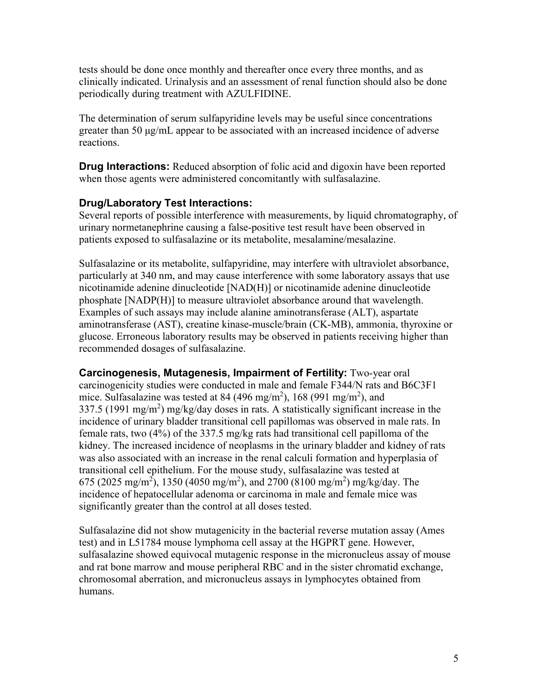tests should be done once monthly and thereafter once every three months, and as clinically indicated. Urinalysis and an assessment of renal function should also be done periodically during treatment with AZULFIDINE.

The determination of serum sulfapyridine levels may be useful since concentrations greater than 50 μg/mL appear to be associated with an increased incidence of adverse reactions.

**Drug Interactions:** Reduced absorption of folic acid and digoxin have been reported when those agents were administered concomitantly with sulfasalazine.

### **Drug/Laboratory Test Interactions:**

Several reports of possible interference with measurements, by liquid chromatography, of urinary normetanephrine causing a false-positive test result have been observed in patients exposed to sulfasalazine or its metabolite, mesalamine/mesalazine.

Sulfasalazine or its metabolite, sulfapyridine, may interfere with ultraviolet absorbance, particularly at 340 nm, and may cause interference with some laboratory assays that use nicotinamide adenine dinucleotide [NAD(H)] or nicotinamide adenine dinucleotide phosphate [NADP(H)] to measure ultraviolet absorbance around that wavelength. Examples of such assays may include alanine aminotransferase (ALT), aspartate aminotransferase (AST), creatine kinase-muscle/brain (CK-MB), ammonia, thyroxine or glucose. Erroneous laboratory results may be observed in patients receiving higher than recommended dosages of sulfasalazine.

**Carcinogenesis, Mutagenesis, Impairment of Fertility:** Two-year oral carcinogenicity studies were conducted in male and female F344/N rats and B6C3F1 mice. Sulfasalazine was tested at 84 (496 mg/m<sup>2</sup>), 168 (991 mg/m<sup>2</sup>), and 337.5 (1991 mg/m<sup>2</sup>) mg/kg/day doses in rats. A statistically significant increase in the incidence of urinary bladder transitional cell papillomas was observed in male rats. In female rats, two (4%) of the 337.5 mg/kg rats had transitional cell papilloma of the kidney. The increased incidence of neoplasms in the urinary bladder and kidney of rats was also associated with an increase in the renal calculi formation and hyperplasia of transitional cell epithelium. For the mouse study, sulfasalazine was tested at 675 (2025 mg/m<sup>2</sup>), 1350 (4050 mg/m<sup>2</sup>), and 2700 (8100 mg/m<sup>2</sup>) mg/kg/day. The incidence of hepatocellular adenoma or carcinoma in male and female mice was significantly greater than the control at all doses tested.

Sulfasalazine did not show mutagenicity in the bacterial reverse mutation assay (Ames test) and in L51784 mouse lymphoma cell assay at the HGPRT gene. However, sulfasalazine showed equivocal mutagenic response in the micronucleus assay of mouse and rat bone marrow and mouse peripheral RBC and in the sister chromatid exchange, chromosomal aberration, and micronucleus assays in lymphocytes obtained from humans.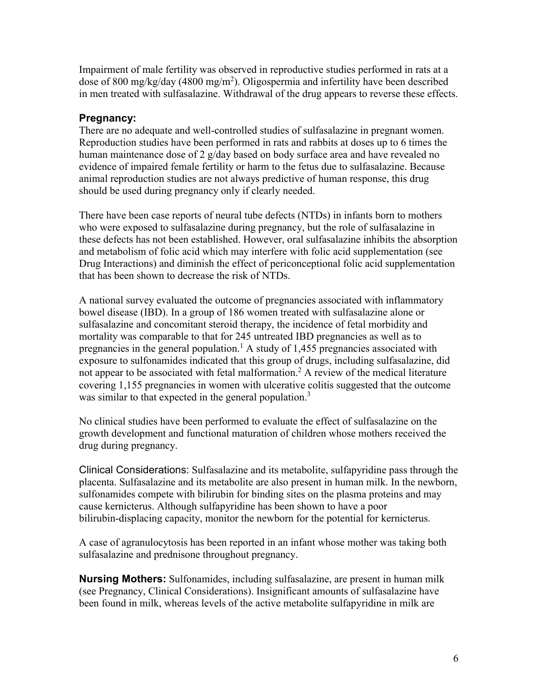Impairment of male fertility was observed in reproductive studies performed in rats at a dose of 800 mg/kg/day (4800 mg/m<sup>2</sup>). Oligospermia and infertility have been described in men treated with sulfasalazine. Withdrawal of the drug appears to reverse these effects.

## **Pregnancy:**

There are no adequate and well-controlled studies of sulfasalazine in pregnant women. Reproduction studies have been performed in rats and rabbits at doses up to 6 times the human maintenance dose of 2 g/day based on body surface area and have revealed no evidence of impaired female fertility or harm to the fetus due to sulfasalazine. Because animal reproduction studies are not always predictive of human response, this drug should be used during pregnancy only if clearly needed.

There have been case reports of neural tube defects (NTDs) in infants born to mothers who were exposed to sulfasalazine during pregnancy, but the role of sulfasalazine in these defects has not been established. However, oral sulfasalazine inhibits the absorption and metabolism of folic acid which may interfere with folic acid supplementation (see Drug Interactions) and diminish the effect of periconceptional folic acid supplementation that has been shown to decrease the risk of NTDs.

A national survey evaluated the outcome of pregnancies associated with inflammatory bowel disease (IBD). In a group of 186 women treated with sulfasalazine alone or sulfasalazine and concomitant steroid therapy, the incidence of fetal morbidity and mortality was comparable to that for 245 untreated IBD pregnancies as well as to pregnancies in the general population.<sup>1</sup> A study of 1,455 pregnancies associated with exposure to sulfonamides indicated that this group of drugs, including sulfasalazine, did not appear to be associated with fetal malformation.<sup>2</sup> A review of the medical literature covering 1,155 pregnancies in women with ulcerative colitis suggested that the outcome was similar to that expected in the general population.<sup>3</sup>

No clinical studies have been performed to evaluate the effect of sulfasalazine on the growth development and functional maturation of children whose mothers received the drug during pregnancy.

Clinical Considerations: Sulfasalazine and its metabolite, sulfapyridine pass through the placenta. Sulfasalazine and its metabolite are also present in human milk. In the newborn, sulfonamides compete with bilirubin for binding sites on the plasma proteins and may cause kernicterus. Although sulfapyridine has been shown to have a poor bilirubin-displacing capacity, monitor the newborn for the potential for kernicterus.

A case of agranulocytosis has been reported in an infant whose mother was taking both sulfasalazine and prednisone throughout pregnancy.

**Nursing Mothers:** Sulfonamides, including sulfasalazine, are present in human milk (see Pregnancy, Clinical Considerations). Insignificant amounts of sulfasalazine have been found in milk, whereas levels of the active metabolite sulfapyridine in milk are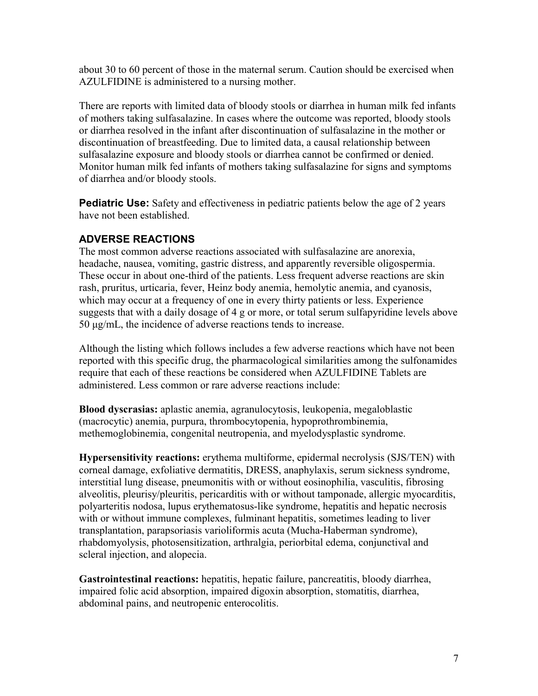about 30 to 60 percent of those in the maternal serum. Caution should be exercised when AZULFIDINE is administered to a nursing mother.

There are reports with limited data of bloody stools or diarrhea in human milk fed infants of mothers taking sulfasalazine. In cases where the outcome was reported, bloody stools or diarrhea resolved in the infant after discontinuation of sulfasalazine in the mother or discontinuation of breastfeeding. Due to limited data, a causal relationship between sulfasalazine exposure and bloody stools or diarrhea cannot be confirmed or denied. Monitor human milk fed infants of mothers taking sulfasalazine for signs and symptoms of diarrhea and/or bloody stools.

**Pediatric Use:** Safety and effectiveness in pediatric patients below the age of 2 years have not been established.

## **ADVERSE REACTIONS**

The most common adverse reactions associated with sulfasalazine are anorexia, headache, nausea, vomiting, gastric distress, and apparently reversible oligospermia. These occur in about one-third of the patients. Less frequent adverse reactions are skin rash, pruritus, urticaria, fever, Heinz body anemia, hemolytic anemia, and cyanosis, which may occur at a frequency of one in every thirty patients or less. Experience suggests that with a daily dosage of 4 g or more, or total serum sulfapyridine levels above 50 μg/mL, the incidence of adverse reactions tends to increase.

Although the listing which follows includes a few adverse reactions which have not been reported with this specific drug, the pharmacological similarities among the sulfonamides require that each of these reactions be considered when AZULFIDINE Tablets are administered. Less common or rare adverse reactions include:

**Blood dyscrasias:** aplastic anemia, agranulocytosis, leukopenia, megaloblastic (macrocytic) anemia, purpura, thrombocytopenia, hypoprothrombinemia, methemoglobinemia, congenital neutropenia, and myelodysplastic syndrome.

**Hypersensitivity reactions:** erythema multiforme, epidermal necrolysis (SJS/TEN) with corneal damage, exfoliative dermatitis, DRESS, anaphylaxis, serum sickness syndrome, interstitial lung disease, pneumonitis with or without eosinophilia, vasculitis, fibrosing alveolitis, pleurisy/pleuritis, pericarditis with or without tamponade, allergic myocarditis, polyarteritis nodosa, lupus erythematosus-like syndrome, hepatitis and hepatic necrosis with or without immune complexes, fulminant hepatitis, sometimes leading to liver transplantation, parapsoriasis varioliformis acuta (Mucha-Haberman syndrome), rhabdomyolysis, photosensitization, arthralgia, periorbital edema, conjunctival and scleral injection, and alopecia.

**Gastrointestinal reactions:** hepatitis, hepatic failure, pancreatitis, bloody diarrhea, impaired folic acid absorption, impaired digoxin absorption, stomatitis, diarrhea, abdominal pains, and neutropenic enterocolitis.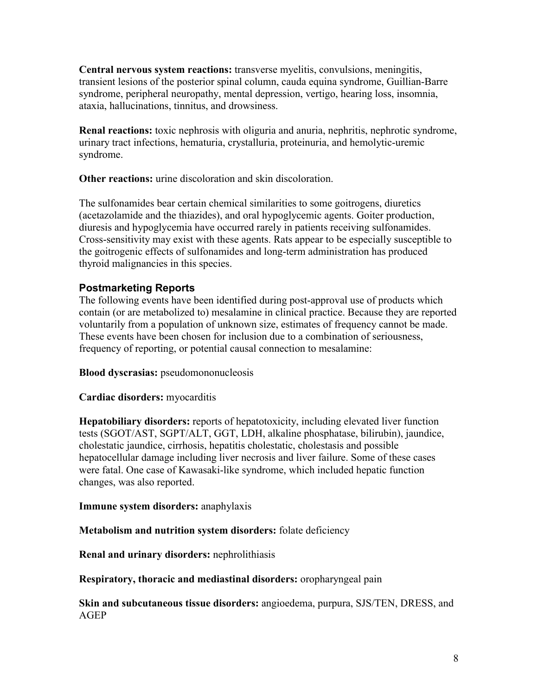**Central nervous system reactions:** transverse myelitis, convulsions, meningitis, transient lesions of the posterior spinal column, cauda equina syndrome, Guillian-Barre syndrome, peripheral neuropathy, mental depression, vertigo, hearing loss, insomnia, ataxia, hallucinations, tinnitus, and drowsiness.

**Renal reactions:** toxic nephrosis with oliguria and anuria, nephritis, nephrotic syndrome, urinary tract infections, hematuria, crystalluria, proteinuria, and hemolytic-uremic syndrome.

**Other reactions:** urine discoloration and skin discoloration.

The sulfonamides bear certain chemical similarities to some goitrogens, diuretics (acetazolamide and the thiazides), and oral hypoglycemic agents. Goiter production, diuresis and hypoglycemia have occurred rarely in patients receiving sulfonamides. Cross-sensitivity may exist with these agents. Rats appear to be especially susceptible to the goitrogenic effects of sulfonamides and long-term administration has produced thyroid malignancies in this species.

### **Postmarketing Reports**

The following events have been identified during post-approval use of products which contain (or are metabolized to) mesalamine in clinical practice. Because they are reported voluntarily from a population of unknown size, estimates of frequency cannot be made. These events have been chosen for inclusion due to a combination of seriousness, frequency of reporting, or potential causal connection to mesalamine:

**Blood dyscrasias:** pseudomononucleosis

### **Cardiac disorders:** myocarditis

**Hepatobiliary disorders:** reports of hepatotoxicity, including elevated liver function tests (SGOT/AST, SGPT/ALT, GGT, LDH, alkaline phosphatase, bilirubin), jaundice, cholestatic jaundice, cirrhosis, hepatitis cholestatic, cholestasis and possible hepatocellular damage including liver necrosis and liver failure. Some of these cases were fatal. One case of Kawasaki-like syndrome, which included hepatic function changes, was also reported.

**Immune system disorders:** anaphylaxis

**Metabolism and nutrition system disorders:** folate deficiency

**Renal and urinary disorders:** nephrolithiasis

**Respiratory, thoracic and mediastinal disorders:** oropharyngeal pain

**Skin and subcutaneous tissue disorders:** angioedema, purpura, SJS/TEN, DRESS, and AGEP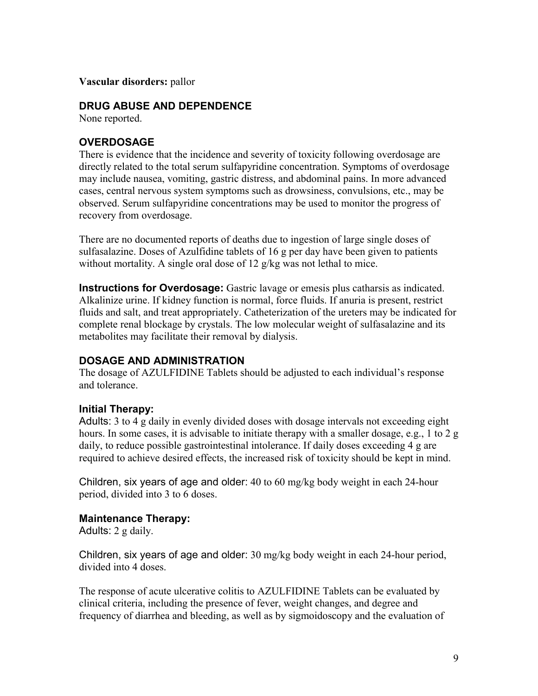**Vascular disorders:** pallor

### **DRUG ABUSE AND DEPENDENCE**

None reported.

## **OVERDOSAGE**

There is evidence that the incidence and severity of toxicity following overdosage are directly related to the total serum sulfapyridine concentration. Symptoms of overdosage may include nausea, vomiting, gastric distress, and abdominal pains. In more advanced cases, central nervous system symptoms such as drowsiness, convulsions, etc., may be observed. Serum sulfapyridine concentrations may be used to monitor the progress of recovery from overdosage.

There are no documented reports of deaths due to ingestion of large single doses of sulfasalazine. Doses of Azulfidine tablets of 16 g per day have been given to patients without mortality. A single oral dose of 12 g/kg was not lethal to mice.

**Instructions for Overdosage:** Gastric lavage or emesis plus catharsis as indicated. Alkalinize urine. If kidney function is normal, force fluids. If anuria is present, restrict fluids and salt, and treat appropriately. Catheterization of the ureters may be indicated for complete renal blockage by crystals. The low molecular weight of sulfasalazine and its metabolites may facilitate their removal by dialysis.

## **DOSAGE AND ADMINISTRATION**

The dosage of AZULFIDINE Tablets should be adjusted to each individual's response and tolerance.

### **Initial Therapy:**

Adults: 3 to 4 g daily in evenly divided doses with dosage intervals not exceeding eight hours. In some cases, it is advisable to initiate therapy with a smaller dosage, e.g., 1 to 2 g daily, to reduce possible gastrointestinal intolerance. If daily doses exceeding 4 g are required to achieve desired effects, the increased risk of toxicity should be kept in mind.

Children, six years of age and older: 40 to 60 mg/kg body weight in each 24-hour period, divided into 3 to 6 doses.

### **Maintenance Therapy:**

Adults: 2 g daily.

Children, six years of age and older: 30 mg/kg body weight in each 24-hour period, divided into 4 doses.

The response of acute ulcerative colitis to AZULFIDINE Tablets can be evaluated by clinical criteria, including the presence of fever, weight changes, and degree and frequency of diarrhea and bleeding, as well as by sigmoidoscopy and the evaluation of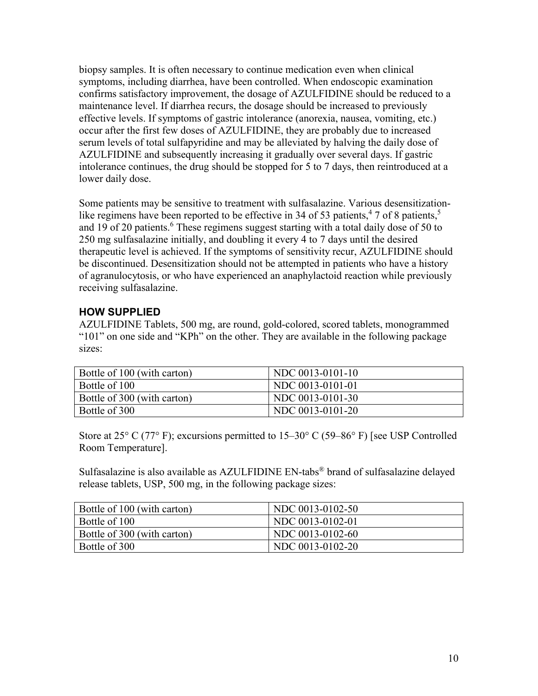biopsy samples. It is often necessary to continue medication even when clinical symptoms, including diarrhea, have been controlled. When endoscopic examination confirms satisfactory improvement, the dosage of AZULFIDINE should be reduced to a maintenance level. If diarrhea recurs, the dosage should be increased to previously effective levels. If symptoms of gastric intolerance (anorexia, nausea, vomiting, etc.) occur after the first few doses of AZULFIDINE, they are probably due to increased serum levels of total sulfapyridine and may be alleviated by halving the daily dose of AZULFIDINE and subsequently increasing it gradually over several days. If gastric intolerance continues, the drug should be stopped for 5 to 7 days, then reintroduced at a lower daily dose.

Some patients may be sensitive to treatment with sulfasalazine. Various desensitizationlike regimens have been reported to be effective in 34 of 53 patients,  $47$  of 8 patients,  $5$ and 19 of 20 patients.<sup>6</sup> These regimens suggest starting with a total daily dose of 50 to 250 mg sulfasalazine initially, and doubling it every 4 to 7 days until the desired therapeutic level is achieved. If the symptoms of sensitivity recur, AZULFIDINE should be discontinued. Desensitization should not be attempted in patients who have a history of agranulocytosis, or who have experienced an anaphylactoid reaction while previously receiving sulfasalazine.

## **HOW SUPPLIED**

AZULFIDINE Tablets, 500 mg, are round, gold-colored, scored tablets, monogrammed "101" on one side and "KPh" on the other. They are available in the following package sizes:

| Bottle of 100 (with carton) | NDC 0013-0101-10 |
|-----------------------------|------------------|
| Bottle of 100               | NDC 0013-0101-01 |
| Bottle of 300 (with carton) | NDC 0013-0101-30 |
| Bottle of 300               | NDC 0013-0101-20 |

Store at 25 $\degree$  C (77 $\degree$  F); excursions permitted to 15–30 $\degree$  C (59–86 $\degree$  F) [see USP Controlled Room Temperature].

Sulfasalazine is also available as AZULFIDINE EN-tabs® brand of sulfasalazine delayed release tablets, USP, 500 mg, in the following package sizes:

| Bottle of 100 (with carton) | NDC 0013-0102-50 |
|-----------------------------|------------------|
| Bottle of 100               | NDC 0013-0102-01 |
| Bottle of 300 (with carton) | NDC 0013-0102-60 |
| Bottle of 300               | NDC 0013-0102-20 |